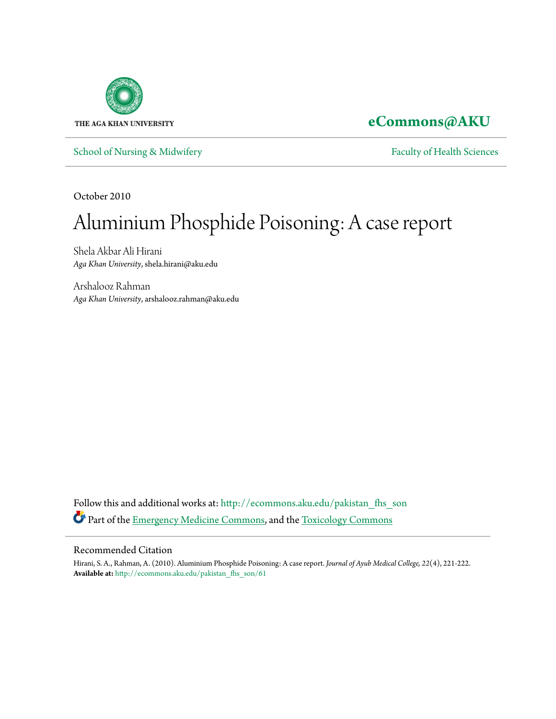

## **[eCommons@AKU](http://ecommons.aku.edu?utm_source=ecommons.aku.edu%2Fpakistan_fhs_son%2F61&utm_medium=PDF&utm_campaign=PDFCoverPages)**

[School of Nursing & Midwifery](http://ecommons.aku.edu/pakistan_fhs_son?utm_source=ecommons.aku.edu%2Fpakistan_fhs_son%2F61&utm_medium=PDF&utm_campaign=PDFCoverPages) [Faculty of Health Sciences](http://ecommons.aku.edu/pakistan_fhs?utm_source=ecommons.aku.edu%2Fpakistan_fhs_son%2F61&utm_medium=PDF&utm_campaign=PDFCoverPages)

October 2010

# Aluminium Phosphide Poisoning: A case report

Shela Akbar Ali Hirani *Aga Khan University*, shela.hirani@aku.edu

Arshalooz Rahman *Aga Khan University*, arshalooz.rahman@aku.edu

Follow this and additional works at: [http://ecommons.aku.edu/pakistan\\_fhs\\_son](http://ecommons.aku.edu/pakistan_fhs_son?utm_source=ecommons.aku.edu%2Fpakistan_fhs_son%2F61&utm_medium=PDF&utm_campaign=PDFCoverPages) Part of the [Emergency Medicine Commons,](http://network.bepress.com/hgg/discipline/685?utm_source=ecommons.aku.edu%2Fpakistan_fhs_son%2F61&utm_medium=PDF&utm_campaign=PDFCoverPages) and the [Toxicology Commons](http://network.bepress.com/hgg/discipline/67?utm_source=ecommons.aku.edu%2Fpakistan_fhs_son%2F61&utm_medium=PDF&utm_campaign=PDFCoverPages)

#### Recommended Citation

Hirani, S. A., Rahman, A. (2010). Aluminium Phosphide Poisoning: A case report. *Journal of Ayub Medical College, 22*(4), 221-222. **Available at:** [http://ecommons.aku.edu/pakistan\\_fhs\\_son/61](http://ecommons.aku.edu/pakistan_fhs_son/61)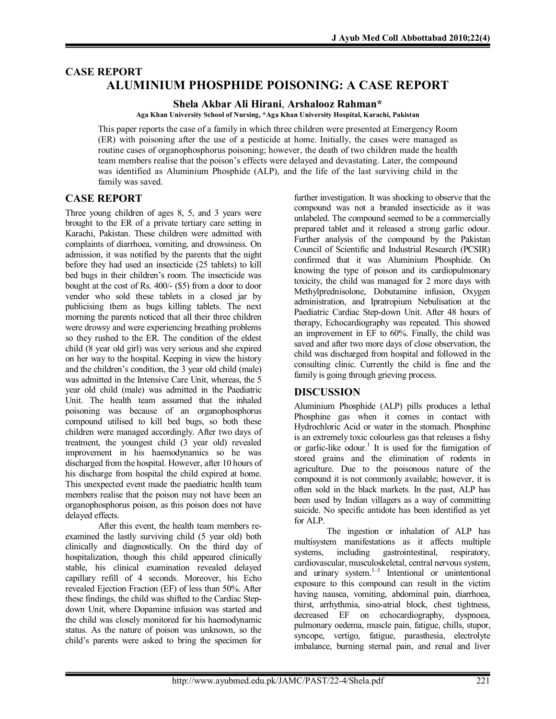### **CASE REPORT ALUMINIUM PHOSPHIDE POISONING: A CASE REPORT**

**Shela Akbar Ali Hirani**, **Arshalooz Rahman\***

**Aga Khan University School of Nursing, \*Aga Khan University Hospital, Karachi, Pakistan**

This paper reports the case of a family in which three children were presented at Emergency Room (ER) with poisoning after the use of a pesticide at home. Initially, the cases were managed as routine cases of organophosphorus poisoning; however, the death of two children made the health team members realise that the poison's effects were delayed and devastating. Later, the compound was identified as Aluminium Phosphide (ALP), and the life of the last surviving child in the family was saved.

#### **CASE REPORT**

Three young children of ages 8, 5, and 3 years were brought to the ER of a private tertiary care setting in Karachi, Pakistan. These children were admitted with complaints of diarrhoea, vomiting, and drowsiness. On admission, it was notified by the parents that the night before they had used an insecticide (25 tablets) to kill bed bugs in their children's room. The insecticide was bought at the cost of Rs. 400/- (\$5) from a door to door vender who sold these tablets in a closed jar by publicising them as bugs killing tablets. The next morning the parents noticed that all their three children were drowsy and were experiencing breathing problems so they rushed to the ER. The condition of the eldest child (8 year old girl) was very serious and she expired on her way to the hospital. Keeping in view the history and the children's condition, the 3 year old child (male) was admitted in the Intensive Care Unit, whereas, the 5 year old child (male) was admitted in the Paediatric Unit. The health team assumed that the inhaled poisoning was because of an organophosphorus compound utilised to kill bed bugs, so both these children were managed accordingly. After two days of treatment, the youngest child (3 year old) revealed improvement in his haemodynamics so he was discharged from the hospital. However, after 10 hours of his discharge from hospital the child expired at home. This unexpected event made the paediatric health team members realise that the poison may not have been an organophosphorus poison, as this poison does not have delayed effects.

After this event, the health team members reexamined the lastly surviving child (5 year old) both clinically and diagnostically. On the third day of hospitalization, though this child appeared clinically stable, his clinical examination revealed delayed capillary refill of 4 seconds. Moreover, his Echo revealed Ejection Fraction (EF) of less than 50%. After these findings, the child was shifted to the Cardiac Stepdown Unit, where Dopamine infusion was started and the child was closely monitored for his haemodynamic status. As the nature of poison was unknown, so the child's parents were asked to bring the specimen for

further investigation. It was shocking to observe that the compound was not a branded insecticide as it was unlabeled. The compound seemed to be a commercially prepared tablet and it released a strong garlic odour. Further analysis of the compound by the Pakistan Council of Scientific and Industrial Research (PCSIR) confirmed that it was Aluminium Phosphide. On knowing the type of poison and its cardiopulmonary toxicity, the child was managed for 2 more days with Methylprednisolone, Dobutamine infusion, Oxygen administration, and Ipratropium Nebulisation at the Paediatric Cardiac Step-down Unit. After 48 hours of therapy, Echocardiography was repeated. This showed an improvement in EF to 60%. Finally, the child was saved and after two more days of close observation, the child was discharged from hospital and followed in the consulting clinic. Currently the child is fine and the family is going through grieving process.

#### **DISCUSSION**

Aluminium Phosphide (ALP) pills produces a lethal Phosphine gas when it comes in contact with Hydrochloric Acid or water in the stomach. Phosphine is an extremely toxic colourless gas that releases a fishy or garlic-like odour. 1 It is used for the fumigation of stored grains and the elimination of rodents in agriculture. Due to the poisonous nature of the compound it is not commonly available; however, it is often sold in the black markets. In the past, ALP has been used by Indian villagers as a way of committing suicide. No specific antidote has been identified as yet for ALP.

The ingestion or inhalation of ALP has multisystem manifestations as it affects multiple systems, including gastrointestinal, respiratory, cardiovascular, musculoskeletal, central nervous system, and urinary system.<sup>1-3</sup> Intentional or unintentional exposure to this compound can result in the victim having nausea, vomiting, abdominal pain, diarrhoea, thirst, arrhythmia, sino-atrial block, chest tightness, decreased EF on echocardiography, dyspnoea, pulmonary oedema, muscle pain, fatigue, chills, stupor, syncope, vertigo, fatigue, parasthesia, electrolyte imbalance, burning sternal pain, and renal and liver